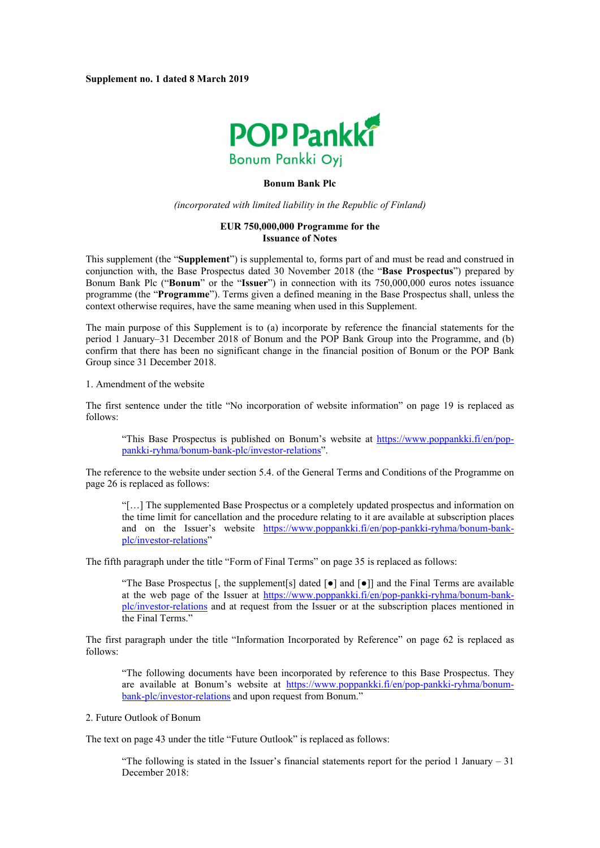

## **Bonum Bank Plc**

*(incorporated with limited liability in the Republic of Finland)*

## **EUR 750,000,000 Programme for the Issuance of Notes**

This supplement (the "**Supplement**") is supplemental to, forms part of and must be read and construed in conjunction with, the Base Prospectus dated 30 November 2018 (the "**Base Prospectus**") prepared by Bonum Bank Plc ("**Bonum**" or the "**Issuer**") in connection with its 750,000,000 euros notes issuance programme (the "**Programme**"). Terms given a defined meaning in the Base Prospectus shall, unless the context otherwise requires, have the same meaning when used in this Supplement.

The main purpose of this Supplement is to (a) incorporate by reference the financial statements for the period 1 January–31 December 2018 of Bonum and the POP Bank Group into the Programme, and (b) confirm that there has been no significant change in the financial position of Bonum or the POP Bank Group since 31 December 2018.

1. Amendment of the website

The first sentence under the title "No incorporation of website information" on page 19 is replaced as follows:

["This Base Prospectus is published on Bonum's website at https://www.poppankki.fi/en/pop](https://www.poppankki.fi/en/pop-pankki-ryhma/bonum-bank-plc/investor-relations)pankki-ryhma/bonum-bank-plc/investor-relations".

The reference to the website under section 5.4. of the General Terms and Conditions of the Programme on page 26 is replaced as follows:

"[…] The supplemented Base Prospectus or a completely updated prospectus and information on the time limit for cancellation and the procedure relating to it are available at subscription places [and on the Issuer's website https://www.poppankki.fi/en/pop-pankki-ryhma/bonum-bank](https://www.poppankki.fi/en/pop-pankki-ryhma/bonum-bank-plc/investor-relations)plc/investor-relations"

The fifth paragraph under the title "Form of Final Terms" on page 35 is replaced as follows:

"The Base Prospectus [, the supplement[s] dated  $\lceil \bullet \rceil$  and  $\lceil \bullet \rceil$ ] and the Final Terms are available [at the web page of the Issuer at https://www.poppankki.fi/en/pop-pankki-ryhma/bonum-bank](https://www.poppankki.fi/en/pop-pankki-ryhma/bonum-bank-plc/investor-relations)plc/investor-relations and at request from the Issuer or at the subscription places mentioned in the Final Terms."

The first paragraph under the title "Information Incorporated by Reference" on page 62 is replaced as follows:

"The following documents have been incorporated by reference to this Base Prospectus. They [are available at Bonum's website at https://www.poppankki.fi/en/pop-pankki-ryhma/bonum](https://www.poppankki.fi/en/pop-pankki-ryhma/bonum-bank-plc/investor-relations)bank-plc/investor-relations and upon request from Bonum."

2. Future Outlook of Bonum

The text on page 43 under the title "Future Outlook" is replaced as follows:

"The following is stated in the Issuer's financial statements report for the period 1 January – 31 December 2018: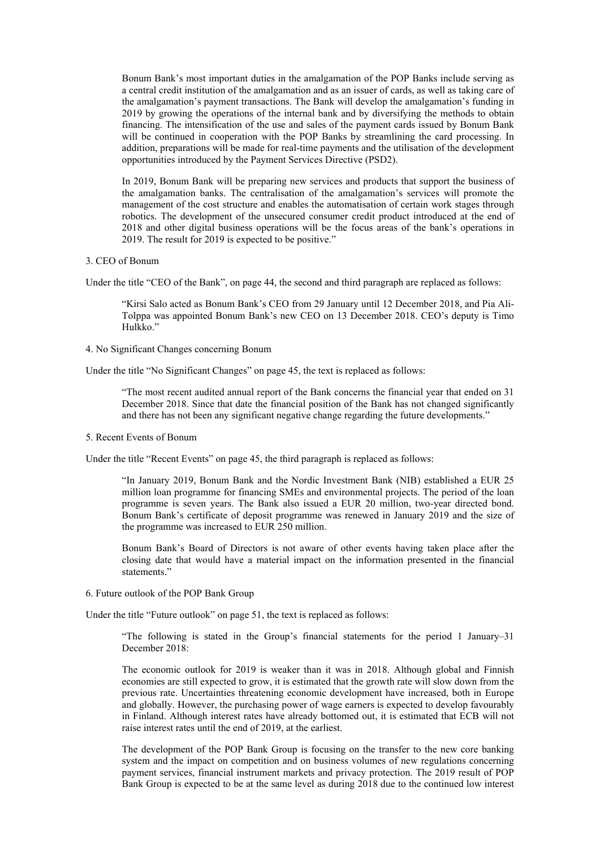Bonum Bank's most important duties in the amalgamation of the POP Banks include serving as a central credit institution of the amalgamation and as an issuer of cards, as well as taking care of the amalgamation's payment transactions. The Bank will develop the amalgamation's funding in 2019 by growing the operations of the internal bank and by diversifying the methods to obtain financing. The intensification of the use and sales of the payment cards issued by Bonum Bank will be continued in cooperation with the POP Banks by streamlining the card processing. In addition, preparations will be made for real-time payments and the utilisation of the development opportunities introduced by the Payment Services Directive (PSD2).

In 2019, Bonum Bank will be preparing new services and products that support the business of the amalgamation banks. The centralisation of the amalgamation's services will promote the management of the cost structure and enables the automatisation of certain work stages through robotics. The development of the unsecured consumer credit product introduced at the end of 2018 and other digital business operations will be the focus areas of the bank's operations in 2019. The result for 2019 is expected to be positive."

## 3. CEO of Bonum

Under the title "CEO of the Bank", on page 44, the second and third paragraph are replaced as follows:

"Kirsi Salo acted as Bonum Bank's CEO from 29 January until 12 December 2018, and Pia Ali-Tolppa was appointed Bonum Bank's new CEO on 13 December 2018. CEO's deputy is Timo Hulkko."

4. No Significant Changes concerning Bonum

Under the title "No Significant Changes" on page 45, the text is replaced as follows:

"The most recent audited annual report of the Bank concerns the financial year that ended on 31 December 2018. Since that date the financial position of the Bank has not changed significantly and there has not been any significant negative change regarding the future developments."

5. Recent Events of Bonum

Under the title "Recent Events" on page 45, the third paragraph is replaced as follows:

"In January 2019, Bonum Bank and the Nordic Investment Bank (NIB) established a EUR 25 million loan programme for financing SMEs and environmental projects. The period of the loan programme is seven years. The Bank also issued a EUR 20 million, two-year directed bond. Bonum Bank's certificate of deposit programme was renewed in January 2019 and the size of the programme was increased to EUR 250 million.

Bonum Bank's Board of Directors is not aware of other events having taken place after the closing date that would have a material impact on the information presented in the financial statements."

6. Future outlook of the POP Bank Group

Under the title "Future outlook" on page 51, the text is replaced as follows:

"The following is stated in the Group's financial statements for the period 1 January–31 December 2018:

The economic outlook for 2019 is weaker than it was in 2018. Although global and Finnish economies are still expected to grow, it is estimated that the growth rate will slow down from the previous rate. Uncertainties threatening economic development have increased, both in Europe and globally. However, the purchasing power of wage earners is expected to develop favourably in Finland. Although interest rates have already bottomed out, it is estimated that ECB will not raise interest rates until the end of 2019, at the earliest.

The development of the POP Bank Group is focusing on the transfer to the new core banking system and the impact on competition and on business volumes of new regulations concerning payment services, financial instrument markets and privacy protection. The 2019 result of POP Bank Group is expected to be at the same level as during 2018 due to the continued low interest